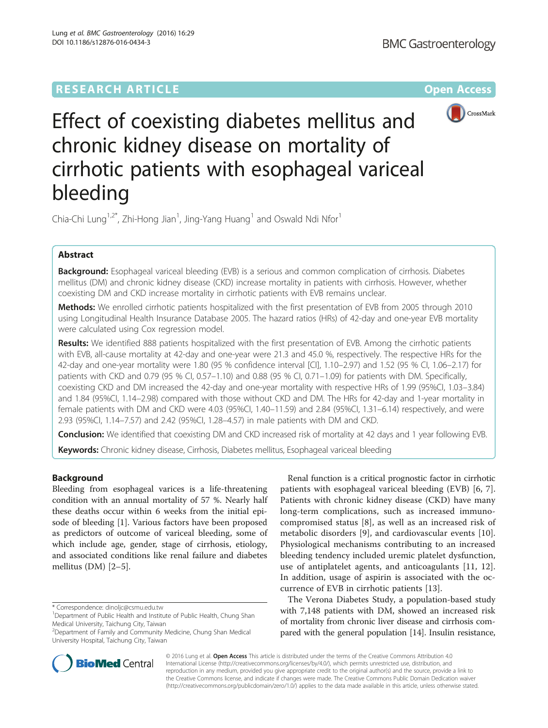

Effect of coexisting diabetes mellitus and chronic kidney disease on mortality of cirrhotic patients with esophageal variceal bleeding

Chia-Chi Lung<sup>1,2\*</sup>, Zhi-Hong Jian<sup>1</sup>, Jing-Yang Huang<sup>1</sup> and Oswald Ndi Nfor<sup>1</sup>

# Abstract

Background: Esophageal variceal bleeding (EVB) is a serious and common complication of cirrhosis. Diabetes mellitus (DM) and chronic kidney disease (CKD) increase mortality in patients with cirrhosis. However, whether coexisting DM and CKD increase mortality in cirrhotic patients with EVB remains unclear.

Methods: We enrolled cirrhotic patients hospitalized with the first presentation of EVB from 2005 through 2010 using Longitudinal Health Insurance Database 2005. The hazard ratios (HRs) of 42-day and one-year EVB mortality were calculated using Cox regression model.

Results: We identified 888 patients hospitalized with the first presentation of EVB. Among the cirrhotic patients with EVB, all-cause mortality at 42-day and one-year were 21.3 and 45.0 %, respectively. The respective HRs for the 42-day and one-year mortality were 1.80 (95 % confidence interval [CI], 1.10–2.97) and 1.52 (95 % CI, 1.06–2.17) for patients with CKD and 0.79 (95 % CI, 0.57–1.10) and 0.88 (95 % CI, 0.71–1.09) for patients with DM. Specifically, coexisting CKD and DM increased the 42-day and one-year mortality with respective HRs of 1.99 (95%CI, 1.03–3.84) and 1.84 (95%CI, 1.14–2.98) compared with those without CKD and DM. The HRs for 42-day and 1-year mortality in female patients with DM and CKD were 4.03 (95%CI, 1.40–11.59) and 2.84 (95%CI, 1.31–6.14) respectively, and were 2.93 (95%CI, 1.14–7.57) and 2.42 (95%CI, 1.28–4.57) in male patients with DM and CKD.

**Conclusion:** We identified that coexisting DM and CKD increased risk of mortality at 42 days and 1 year following EVB.

Keywords: Chronic kidney disease, Cirrhosis, Diabetes mellitus, Esophageal variceal bleeding

# Background

Bleeding from esophageal varices is a life-threatening condition with an annual mortality of 57 %. Nearly half these deaths occur within 6 weeks from the initial episode of bleeding [[1](#page-6-0)]. Various factors have been proposed as predictors of outcome of variceal bleeding, some of which include age, gender, stage of cirrhosis, etiology, and associated conditions like renal failure and diabetes mellitus (DM) [[2](#page-6-0)–[5\]](#page-6-0).

\* Correspondence: [dinoljc@csmu.edu.tw](mailto:dinoljc@csmu.edu.tw) <sup>1</sup>

2 Department of Family and Community Medicine, Chung Shan Medical University Hospital, Taichung City, Taiwan



The Verona Diabetes Study, a population-based study with 7,148 patients with DM, showed an increased risk of mortality from chronic liver disease and cirrhosis compared with the general population [\[14](#page-6-0)]. Insulin resistance,



© 2016 Lung et al. Open Access This article is distributed under the terms of the Creative Commons Attribution 4.0 International License [\(http://creativecommons.org/licenses/by/4.0/](http://creativecommons.org/licenses/by/4.0/)), which permits unrestricted use, distribution, and reproduction in any medium, provided you give appropriate credit to the original author(s) and the source, provide a link to the Creative Commons license, and indicate if changes were made. The Creative Commons Public Domain Dedication waiver [\(http://creativecommons.org/publicdomain/zero/1.0/](http://creativecommons.org/publicdomain/zero/1.0/)) applies to the data made available in this article, unless otherwise stated.

<sup>&</sup>lt;sup>1</sup>Department of Public Health and Institute of Public Health, Chung Shan Medical University, Taichung City, Taiwan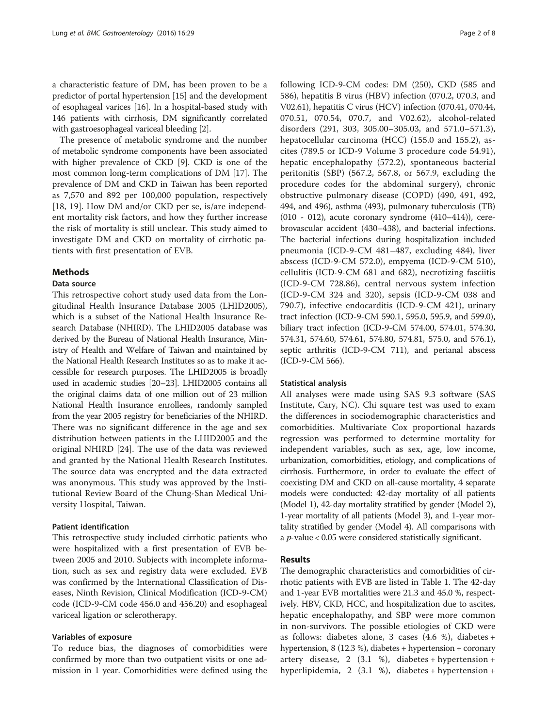a characteristic feature of DM, has been proven to be a predictor of portal hypertension [\[15](#page-6-0)] and the development of esophageal varices [[16](#page-7-0)]. In a hospital-based study with 146 patients with cirrhosis, DM significantly correlated with gastroesophageal variceal bleeding [\[2](#page-6-0)].

The presence of metabolic syndrome and the number of metabolic syndrome components have been associated with higher prevalence of CKD [\[9](#page-6-0)]. CKD is one of the most common long-term complications of DM [\[17\]](#page-7-0). The prevalence of DM and CKD in Taiwan has been reported as 7,570 and 892 per 100,000 population, respectively [[18, 19](#page-7-0)]. How DM and/or CKD per se, is/are independent mortality risk factors, and how they further increase the risk of mortality is still unclear. This study aimed to investigate DM and CKD on mortality of cirrhotic patients with first presentation of EVB.

# Methods

## Data source

This retrospective cohort study used data from the Longitudinal Health Insurance Database 2005 (LHID2005), which is a subset of the National Health Insurance Research Database (NHIRD). The LHID2005 database was derived by the Bureau of National Health Insurance, Ministry of Health and Welfare of Taiwan and maintained by the National Health Research Institutes so as to make it accessible for research purposes. The LHID2005 is broadly used in academic studies [[20](#page-7-0)–[23\]](#page-7-0). LHID2005 contains all the original claims data of one million out of 23 million National Health Insurance enrollees, randomly sampled from the year 2005 registry for beneficiaries of the NHIRD. There was no significant difference in the age and sex distribution between patients in the LHID2005 and the original NHIRD [\[24](#page-7-0)]. The use of the data was reviewed and granted by the National Health Research Institutes. The source data was encrypted and the data extracted was anonymous. This study was approved by the Institutional Review Board of the Chung-Shan Medical University Hospital, Taiwan.

# Patient identification

This retrospective study included cirrhotic patients who were hospitalized with a first presentation of EVB between 2005 and 2010. Subjects with incomplete information, such as sex and registry data were excluded. EVB was confirmed by the International Classification of Diseases, Ninth Revision, Clinical Modification (ICD-9-CM) code (ICD-9-CM code 456.0 and 456.20) and esophageal variceal ligation or sclerotherapy.

## Variables of exposure

To reduce bias, the diagnoses of comorbidities were confirmed by more than two outpatient visits or one admission in 1 year. Comorbidities were defined using the following ICD-9-CM codes: DM (250), CKD (585 and 586), hepatitis B virus (HBV) infection (070.2, 070.3, and V02.61), hepatitis C virus (HCV) infection (070.41, 070.44, 070.51, 070.54, 070.7, and V02.62), alcohol-related disorders (291, 303, 305.00–305.03, and 571.0–571.3), hepatocellular carcinoma (HCC) (155.0 and 155.2), ascites (789.5 or ICD-9 Volume 3 procedure code 54.91), hepatic encephalopathy (572.2), spontaneous bacterial peritonitis (SBP) (567.2, 567.8, or 567.9, excluding the procedure codes for the abdominal surgery), chronic obstructive pulmonary disease (COPD) (490, 491, 492, 494, and 496), asthma (493), pulmonary tuberculosis (TB) (010 - 012), acute coronary syndrome (410–414)), cerebrovascular accident (430–438), and bacterial infections. The bacterial infections during hospitalization included pneumonia (ICD-9-CM 481–487, excluding 484), liver abscess (ICD-9-CM 572.0), empyema (ICD-9-CM 510), cellulitis (ICD-9-CM 681 and 682), necrotizing fasciitis (ICD-9-CM 728.86), central nervous system infection (ICD-9-CM 324 and 320), sepsis (ICD-9-CM 038 and 790.7), infective endocarditis (ICD-9-CM 421), urinary tract infection (ICD-9-CM 590.1, 595.0, 595.9, and 599.0), biliary tract infection (ICD-9-CM 574.00, 574.01, 574.30, 574.31, 574.60, 574.61, 574.80, 574.81, 575.0, and 576.1), septic arthritis (ICD-9-CM 711), and perianal abscess (ICD-9-CM 566).

### Statistical analysis

All analyses were made using SAS 9.3 software (SAS Institute, Cary, NC). Chi square test was used to exam the differences in sociodemographic characteristics and comorbidities. Multivariate Cox proportional hazards regression was performed to determine mortality for independent variables, such as sex, age, low income, urbanization, comorbidities, etiology, and complications of cirrhosis. Furthermore, in order to evaluate the effect of coexisting DM and CKD on all-cause mortality, 4 separate models were conducted: 42-day mortality of all patients (Model 1), 42-day mortality stratified by gender (Model 2), 1-year mortality of all patients (Model 3), and 1-year mortality stratified by gender (Model 4). All comparisons with a  $p$ -value < 0.05 were considered statistically significant.

## Results

The demographic characteristics and comorbidities of cirrhotic patients with EVB are listed in Table [1.](#page-2-0) The 42-day and 1-year EVB mortalities were 21.3 and 45.0 %, respectively. HBV, CKD, HCC, and hospitalization due to ascites, hepatic encephalopathy, and SBP were more common in non-survivors. The possible etiologies of CKD were as follows: diabetes alone, 3 cases (4.6 %), diabetes + hypertension, 8 (12.3 %), diabetes + hypertension + coronary artery disease, 2 (3.1 %), diabetes + hypertension + hyperlipidemia, 2 (3.1 %), diabetes + hypertension +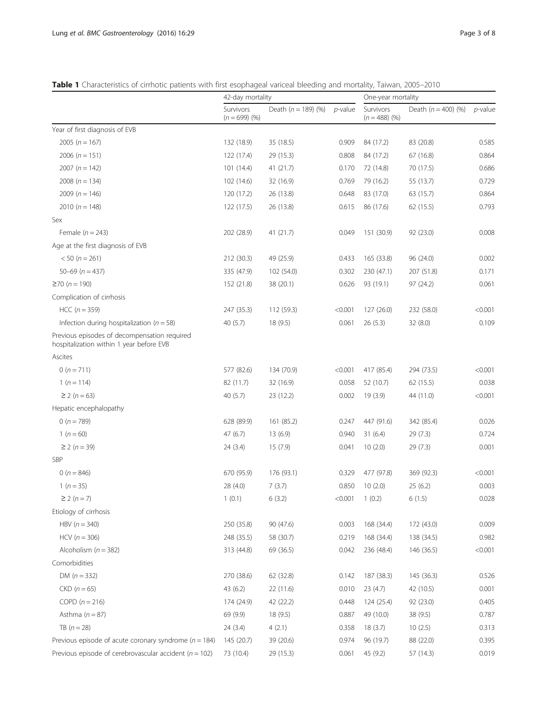<span id="page-2-0"></span>Table 1 Characteristics of cirrhotic patients with first esophageal variceal bleeding and mortality, Taiwan, 2005–2010

|                                                                                          | 42-day mortality             |                       |            | One-year mortality           |                       |            |  |
|------------------------------------------------------------------------------------------|------------------------------|-----------------------|------------|------------------------------|-----------------------|------------|--|
|                                                                                          | Survivors<br>$(n = 699)$ (%) | Death $(n = 189)$ (%) | $p$ -value | Survivors<br>$(n = 488)$ (%) | Death $(n = 400)$ (%) | $p$ -value |  |
| Year of first diagnosis of EVB                                                           |                              |                       |            |                              |                       |            |  |
| 2005 ( $n = 167$ )                                                                       | 132 (18.9)                   | 35 (18.5)             | 0.909      | 84 (17.2)                    | 83 (20.8)             | 0.585      |  |
| 2006 ( $n = 151$ )                                                                       | 122 (17.4)                   | 29 (15.3)             | 0.808      | 84 (17.2)                    | 67 (16.8)             | 0.864      |  |
| 2007 ( $n = 142$ )                                                                       | 101 (14.4)                   | 41(21.7)              | 0.170      | 72 (14.8)                    | 70 (17.5)             | 0.686      |  |
| 2008 ( $n = 134$ )                                                                       | 102 (14.6)                   | 32 (16.9)             | 0.769      | 79 (16.2)                    | 55 (13.7)             | 0.729      |  |
| 2009 ( $n = 146$ )                                                                       | 120 (17.2)                   | 26 (13.8)             | 0.648      | 83 (17.0)                    | 63 (15.7)             | 0.864      |  |
| 2010 ( $n = 148$ )                                                                       | 122 (17.5)                   | 26 (13.8)             | 0.615      | 86 (17.6)                    | 62 (15.5)             | 0.793      |  |
| Sex                                                                                      |                              |                       |            |                              |                       |            |  |
| Female $(n = 243)$                                                                       | 202 (28.9)                   | 41 (21.7)             | 0.049      | 151 (30.9)                   | 92 (23.0)             | 0.008      |  |
| Age at the first diagnosis of EVB                                                        |                              |                       |            |                              |                       |            |  |
| $< 50 (n = 261)$                                                                         | 212 (30.3)                   | 49 (25.9)             | 0.433      | 165 (33.8)                   | 96 (24.0)             | 0.002      |  |
| $50 - 69$ (n = 437)                                                                      | 335 (47.9)                   | 102 (54.0)            | 0.302      | 230 (47.1)                   | 207 (51.8)            | 0.171      |  |
| $≥70 (n = 190)$                                                                          | 152 (21.8)                   | 38 (20.1)             | 0.626      | 93 (19.1)                    | 97 (24.2)             | 0.061      |  |
| Complication of cirrhosis                                                                |                              |                       |            |                              |                       |            |  |
| $HCC (n = 359)$                                                                          | 247 (35.3)                   | 112 (59.3)            | < 0.001    | 127(26.0)                    | 232 (58.0)            | < 0.001    |  |
| Infection during hospitalization ( $n = 58$ )                                            | 40 (5.7)                     | 18(9.5)               | 0.061      | 26(5.3)                      | 32 (8.0)              | 0.109      |  |
| Previous episodes of decompensation required<br>hospitalization within 1 year before EVB |                              |                       |            |                              |                       |            |  |
| Ascites                                                                                  |                              |                       |            |                              |                       |            |  |
| 0 ( $n = 711$ )                                                                          | 577 (82.6)                   | 134 (70.9)            | < 0.001    | 417 (85.4)                   | 294 (73.5)            | < 0.001    |  |
| $1(n=114)$                                                                               | 82 (11.7)                    | 32 (16.9)             | 0.058      | 52 (10.7)                    | 62 (15.5)             | 0.038      |  |
| $\geq$ 2 (n = 63)                                                                        | 40 $(5.7)$                   | 23 (12.2)             | 0.002      | 19(3.9)                      | 44 (11.0)             | < 0.001    |  |
| Hepatic encephalopathy                                                                   |                              |                       |            |                              |                       |            |  |
| 0 ( $n = 789$ )                                                                          | 628 (89.9)                   | 161 (85.2)            | 0.247      | 447 (91.6)                   | 342 (85.4)            | 0.026      |  |
| 1 ( $n = 60$ )                                                                           | 47(6.7)                      | 13(6.9)               | 0.940      | 31(6.4)                      | 29(7.3)               | 0.724      |  |
| $≥ 2 (n = 39)$                                                                           | 24(3.4)                      | 15 (7.9)              | 0.041      | 10(2.0)                      | 29 (7.3)              | 0.001      |  |
| <b>SBP</b>                                                                               |                              |                       |            |                              |                       |            |  |
| 0 ( $n = 846$ )                                                                          | 670 (95.9)                   | 176 (93.1)            | 0.329      | 477 (97.8)                   | 369 (92.3)            | < 0.001    |  |
| $1(n=35)$                                                                                | 28(4.0)                      | 7(3.7)                | 0.850      | 10(2.0)                      | 25(6.2)               | 0.003      |  |
| $≥ 2 (n = 7)$                                                                            | 1(0.1)                       | 6(3.2)                | < 0.001    | 1(0.2)                       | 6(1.5)                | 0.028      |  |
| Etiology of cirrhosis                                                                    |                              |                       |            |                              |                       |            |  |
| HBV $(n = 340)$                                                                          | 250 (35.8)                   | 90 (47.6)             | 0.003      | 168 (34.4)                   | 172 (43.0)            | 0.009      |  |
| $HCV (n = 306)$                                                                          | 248 (35.5)                   | 58 (30.7)             | 0.219      | 168 (34.4)                   | 138 (34.5)            | 0.982      |  |
| Alcoholism ( $n = 382$ )                                                                 | 313 (44.8)                   | 69 (36.5)             | 0.042      | 236 (48.4)                   | 146 (36.5)            | < 0.001    |  |
| Comorbidities                                                                            |                              |                       |            |                              |                       |            |  |
| DM $(n = 332)$                                                                           | 270 (38.6)                   | 62 (32.8)             | 0.142      | 187 (38.3)                   | 145 (36.3)            | 0.526      |  |
| $CKD(n=65)$                                                                              | 43 (6.2)                     | 22 (11.6)             | 0.010      | 23(4.7)                      | 42 (10.5)             | 0.001      |  |
| COPD $(n = 216)$                                                                         | 174 (24.9)                   | 42 (22.2)             | 0.448      | 124 (25.4)                   | 92 (23.0)             | 0.405      |  |
| Asthma $(n = 87)$                                                                        | 69 (9.9)                     | 18 (9.5)              | 0.887      | 49 (10.0)                    | 38 (9.5)              | 0.787      |  |
| TB $(n = 28)$                                                                            | 24(3.4)                      | 4(2.1)                | 0.358      | 18(3.7)                      | 10(2.5)               | 0.313      |  |
| Previous episode of acute coronary syndrome ( $n = 184$ )                                | 145 (20.7)                   | 39 (20.6)             | 0.974      | 96 (19.7)                    | 88 (22.0)             | 0.395      |  |
| Previous episode of cerebrovascular accident ( $n = 102$ )                               | 73 (10.4)                    | 29 (15.3)             | 0.061      | 45 (9.2)                     | 57 (14.3)             | 0.019      |  |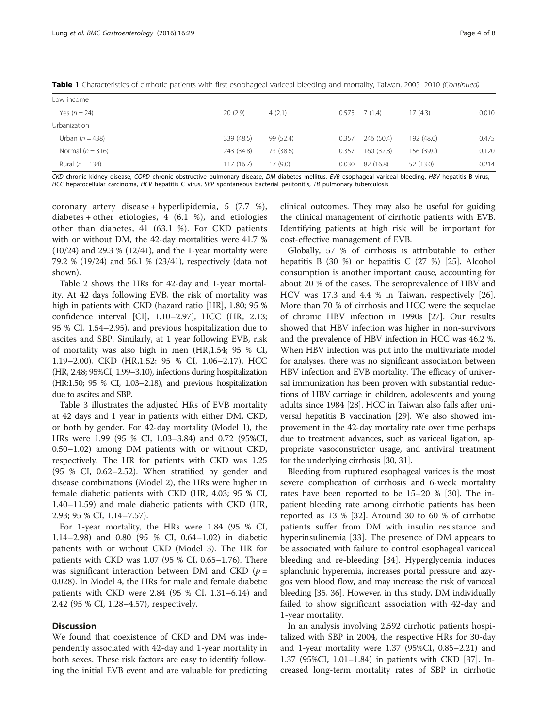| Low income         |            |           |       |                 |            |       |
|--------------------|------------|-----------|-------|-----------------|------------|-------|
| Yes $(n = 24)$     | 20(2.9)    | 4(2.1)    |       | $0.575$ 7 (1.4) | 17 (4.3)   | 0.010 |
| Urbanization       |            |           |       |                 |            |       |
| Urban $(n = 438)$  | 339 (48.5) | 99 (52.4) | 0.357 | 246 (50.4)      | 192 (48.0) | 0.475 |
| Normal $(n = 316)$ | 243 (34.8) | 73 (38.6) | 0.357 | 160 (32.8)      | 156 (39.0) | 0.120 |
| Rural $(n = 134)$  | 117(16.7)  | 17(9.0)   | 0.030 | 82 (16.8)       | 52 (13.0)  | 0.214 |

Table 1 Characteristics of cirrhotic patients with first esophageal variceal bleeding and mortality, Taiwan, 2005–2010 (Continued)

CKD chronic kidney disease, COPD chronic obstructive pulmonary disease, DM diabetes mellitus, EVB esophageal variceal bleeding, HBV hepatitis B virus, HCC hepatocellular carcinoma, HCV hepatitis C virus, SBP spontaneous bacterial peritonitis, TB pulmonary tuberculosis

coronary artery disease + hyperlipidemia, 5 (7.7 %), diabetes + other etiologies,  $4(6.1\%)$ , and etiologies other than diabetes, 41 (63.1 %). For CKD patients with or without DM, the 42-day mortalities were 41.7 % (10/24) and 29.3 % (12/41), and the 1-year mortality were 79.2 % (19/24) and 56.1 % (23/41), respectively (data not shown).

Table [2](#page-4-0) shows the HRs for 42-day and 1-year mortality. At 42 days following EVB, the risk of mortality was high in patients with CKD (hazard ratio [HR], 1.80; 95 % confidence interval [CI], 1.10–2.97], HCC (HR, 2.13; 95 % CI, 1.54–2.95), and previous hospitalization due to ascites and SBP. Similarly, at 1 year following EVB, risk of mortality was also high in men (HR,1.54; 95 % CI, 1.19–2.00), CKD (HR,1.52; 95 % CI, 1.06–2.17), HCC (HR, 2.48; 95%CI, 1.99–3.10), infections during hospitalization (HR:1.50; 95 % CI, 1.03–2.18), and previous hospitalization due to ascites and SBP.

Table [3](#page-5-0) illustrates the adjusted HRs of EVB mortality at 42 days and 1 year in patients with either DM, CKD, or both by gender. For 42-day mortality (Model 1), the HRs were 1.99 (95 % CI, 1.03–3.84) and 0.72 (95%CI, 0.50–1.02) among DM patients with or without CKD, respectively. The HR for patients with CKD was 1.25 (95 % CI, 0.62–2.52). When stratified by gender and disease combinations (Model 2), the HRs were higher in female diabetic patients with CKD (HR, 4.03; 95 % CI, 1.40–11.59) and male diabetic patients with CKD (HR, 2.93; 95 % CI, 1.14–7.57).

For 1-year mortality, the HRs were 1.84 (95 % CI, 1.14–2.98) and 0.80 (95 % CI, 0.64–1.02) in diabetic patients with or without CKD (Model 3). The HR for patients with CKD was 1.07 (95 % CI, 0.65–1.76). There was significant interaction between DM and CKD ( $p =$ 0.028). In Model 4, the HRs for male and female diabetic patients with CKD were 2.84 (95 % CI, 1.31–6.14) and 2.42 (95 % CI, 1.28–4.57), respectively.

# **Discussion**

We found that coexistence of CKD and DM was independently associated with 42-day and 1-year mortality in both sexes. These risk factors are easy to identify following the initial EVB event and are valuable for predicting clinical outcomes. They may also be useful for guiding the clinical management of cirrhotic patients with EVB. Identifying patients at high risk will be important for cost-effective management of EVB.

Globally, 57 % of cirrhosis is attributable to either hepatitis B (30 %) or hepatitis C (27 %) [[25\]](#page-7-0). Alcohol consumption is another important cause, accounting for about 20 % of the cases. The seroprevalence of HBV and HCV was 17.3 and 4.4 % in Taiwan, respectively [\[26](#page-7-0)]. More than 70 % of cirrhosis and HCC were the sequelae of chronic HBV infection in 1990s [[27](#page-7-0)]. Our results showed that HBV infection was higher in non-survivors and the prevalence of HBV infection in HCC was 46.2 %. When HBV infection was put into the multivariate model for analyses, there was no significant association between HBV infection and EVB mortality. The efficacy of universal immunization has been proven with substantial reductions of HBV carriage in children, adolescents and young adults since 1984 [\[28\]](#page-7-0). HCC in Taiwan also falls after universal hepatitis B vaccination [[29](#page-7-0)]. We also showed improvement in the 42-day mortality rate over time perhaps due to treatment advances, such as variceal ligation, appropriate vasoconstrictor usage, and antiviral treatment for the underlying cirrhosis [\[30, 31](#page-7-0)].

Bleeding from ruptured esophageal varices is the most severe complication of cirrhosis and 6-week mortality rates have been reported to be 15–20 % [[30](#page-7-0)]. The inpatient bleeding rate among cirrhotic patients has been reported as 13 % [\[32\]](#page-7-0). Around 30 to 60 % of cirrhotic patients suffer from DM with insulin resistance and hyperinsulinemia [\[33](#page-7-0)]. The presence of DM appears to be associated with failure to control esophageal variceal bleeding and re-bleeding [[34\]](#page-7-0). Hyperglycemia induces splanchnic hyperemia, increases portal pressure and azygos vein blood flow, and may increase the risk of variceal bleeding [[35](#page-7-0), [36](#page-7-0)]. However, in this study, DM individually failed to show significant association with 42-day and 1-year mortality.

In an analysis involving 2,592 cirrhotic patients hospitalized with SBP in 2004, the respective HRs for 30-day and 1-year mortality were 1.37 (95%CI, 0.85–2.21) and 1.37 (95%CI, 1.01–1.84) in patients with CKD [[37\]](#page-7-0). Increased long-term mortality rates of SBP in cirrhotic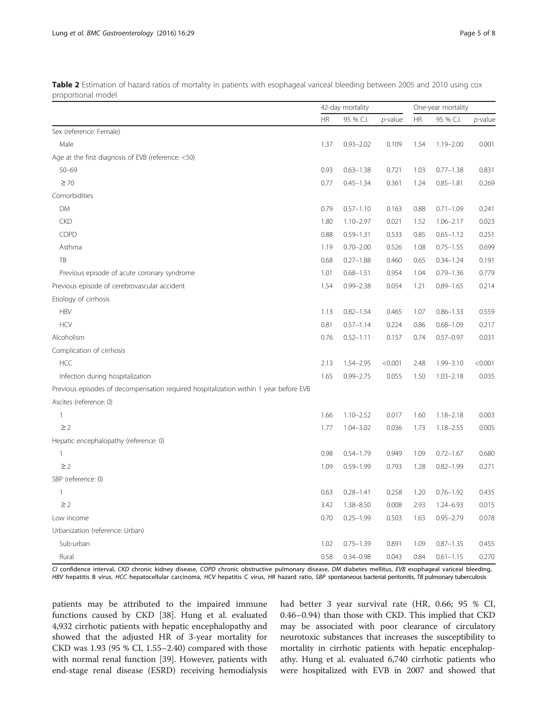<span id="page-4-0"></span>

| Table 2 Estimation of hazard ratios of mortality in patients with esophageal variceal bleeding between 2005 and 2010 using cox |  |  |  |  |
|--------------------------------------------------------------------------------------------------------------------------------|--|--|--|--|
| proportional model                                                                                                             |  |  |  |  |

|                                                                                       |           | 42-day mortality |            | One-year mortality |               |         |
|---------------------------------------------------------------------------------------|-----------|------------------|------------|--------------------|---------------|---------|
|                                                                                       | <b>HR</b> | 95 % C.I.        | $p$ -value | <b>HR</b>          | 95 % C.I.     | p-value |
| Sex (reference: Female)                                                               |           |                  |            |                    |               |         |
| Male                                                                                  | 1.37      | $0.93 - 2.02$    | 0.109      | 1.54               | $1.19 - 2.00$ | 0.001   |
| Age at the first diagnosis of EVB (reference: <50)                                    |           |                  |            |                    |               |         |
| $50 - 69$                                                                             | 0.93      | $0.63 - 1.38$    | 0.721      | 1.03               | $0.77 - 1.38$ | 0.831   |
| $\geq 70$                                                                             | 0.77      | $0.45 - 1.34$    | 0.361      | 1.24               | $0.85 - 1.81$ | 0.269   |
| Comorbidities                                                                         |           |                  |            |                    |               |         |
| <b>DM</b>                                                                             | 0.79      | $0.57 - 1.10$    | 0.163      | 0.88               | $0.71 - 1.09$ | 0.241   |
| <b>CKD</b>                                                                            | 1.80      | $1.10 - 2.97$    | 0.021      | 1.52               | $1.06 - 2.17$ | 0.023   |
| COPD                                                                                  | 0.88      | $0.59 - 1.31$    | 0.533      | 0.85               | $0.65 - 1.12$ | 0.251   |
| Asthma                                                                                | 1.19      | $0.70 - 2.00$    | 0.526      | 1.08               | $0.75 - 1.55$ | 0.699   |
| TB                                                                                    | 0.68      | $0.27 - 1.88$    | 0.460      | 0.65               | $0.34 - 1.24$ | 0.191   |
| Previous episode of acute coronary syndrome                                           | 1.01      | $0.68 - 1.51$    | 0.954      | 1.04               | $0.79 - 1.36$ | 0.779   |
| Previous episode of cerebrovascular accident                                          | 1.54      | $0.99 - 2.38$    | 0.054      | 1.21               | $0.89 - 1.65$ | 0.214   |
| Etiology of cirrhosis                                                                 |           |                  |            |                    |               |         |
| <b>HBV</b>                                                                            | 1.13      | $0.82 - 1.54$    | 0.465      | 1.07               | $0.86 - 1.33$ | 0.559   |
| <b>HCV</b>                                                                            | 0.81      | $0.57 - 1.14$    | 0.224      | 0.86               | $0.68 - 1.09$ | 0.217   |
| Alcoholism                                                                            | 0.76      | $0.52 - 1.11$    | 0.157      | 0.74               | $0.57 - 0.97$ | 0.031   |
| Complication of cirrhosis                                                             |           |                  |            |                    |               |         |
| <b>HCC</b>                                                                            | 2.13      | $1.54 - 2.95$    | < 0.001    | 2.48               | $1.99 - 3.10$ | < 0.001 |
| Infection during hospitalization                                                      | 1.65      | $0.99 - 2.75$    | 0.055      | 1.50               | $1.03 - 2.18$ | 0.035   |
| Previous episodes of decompensation required hospitalization within 1 year before EVB |           |                  |            |                    |               |         |
| Ascites (reference: 0)                                                                |           |                  |            |                    |               |         |
| $\mathbf{1}$                                                                          | 1.66      | $1.10 - 2.52$    | 0.017      | 1.60               | $1.18 - 2.18$ | 0.003   |
| $\geq$ 2                                                                              | 1.77      | $1.04 - 3.02$    | 0.036      | 1.73               | $1.18 - 2.55$ | 0.005   |
| Hepatic encephalopathy (reference: 0)                                                 |           |                  |            |                    |               |         |
| $\mathbf{1}$                                                                          | 0.98      | $0.54 - 1.79$    | 0.949      | 1.09               | $0.72 - 1.67$ | 0.680   |
| $\geq$ 2                                                                              | 1.09      | $0.59 - 1.99$    | 0.793      | 1.28               | $0.82 - 1.99$ | 0.271   |
| SBP (reference: 0)                                                                    |           |                  |            |                    |               |         |
| $\mathbf{1}$                                                                          | 0.63      | $0.28 - 1.41$    | 0.258      | 1.20               | $0.76 - 1.92$ | 0.435   |
| $\geq$ 2                                                                              | 3.42      | 1.38-8.50        | 0.008      | 2.93               | $1.24 - 6.93$ | 0.015   |
| Low income                                                                            | 0.70      | $0.25 - 1.99$    | 0.503      | 1.63               | $0.95 - 2.79$ | 0.078   |
| Urbanization (reference: Urban)                                                       |           |                  |            |                    |               |         |
| Sub-urban                                                                             | 1.02      | $0.75 - 1.39$    | 0.891      | 1.09               | $0.87 - 1.35$ | 0.455   |
| Rural                                                                                 | 0.58      | $0.34 - 0.98$    | 0.043      | 0.84               | $0.61 - 1.15$ | 0.270   |

CI confidence interval, CKD chronic kidney disease, COPD chronic obstructive pulmonary disease, DM diabetes mellitus, EVB esophageal variceal bleeding, HBV hepatitis B virus, HCC hepatocellular carcinoma, HCV hepatitis C virus, HR hazard ratio, SBP spontaneous bacterial peritonitis, TB pulmonary tuberculosis

patients may be attributed to the impaired immune functions caused by CKD [\[38](#page-7-0)]. Hung et al. evaluated 4,932 cirrhotic patients with hepatic encephalopathy and showed that the adjusted HR of 3-year mortality for CKD was 1.93 (95 % CI, 1.55–2.40) compared with those with normal renal function [\[39](#page-7-0)]. However, patients with end-stage renal disease (ESRD) receiving hemodialysis had better 3 year survival rate (HR, 0.66; 95 % CI, 0.46–0.94) than those with CKD. This implied that CKD may be associated with poor clearance of circulatory neurotoxic substances that increases the susceptibility to mortality in cirrhotic patients with hepatic encephalopathy. Hung et al. evaluated 6,740 cirrhotic patients who were hospitalized with EVB in 2007 and showed that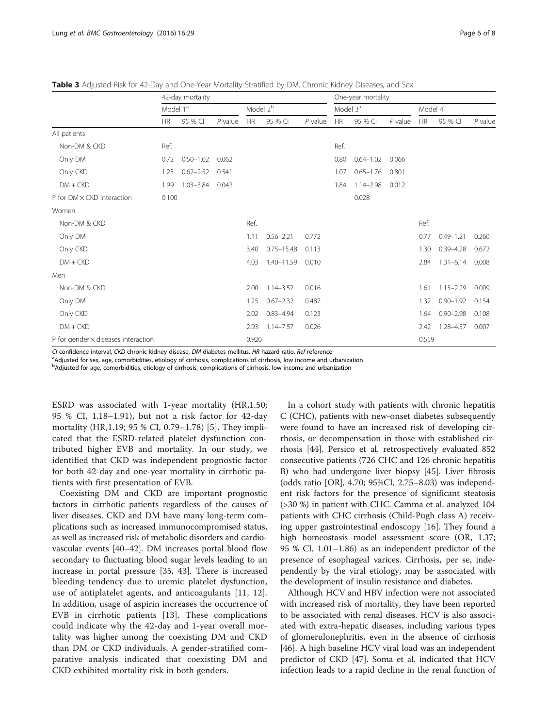|                                            | 42-day mortality     |               |             |           |                | One-year mortality   |           |               |                      |           |               |           |
|--------------------------------------------|----------------------|---------------|-------------|-----------|----------------|----------------------|-----------|---------------|----------------------|-----------|---------------|-----------|
|                                            | Model 1 <sup>a</sup> |               | Model $2^b$ |           |                | Model 3 <sup>ª</sup> |           |               | Model 4 <sup>b</sup> |           |               |           |
|                                            | <b>HR</b>            | 95 % CI       | $P$ value   | <b>HR</b> | 95 % CI        | $P$ value            | <b>HR</b> | 95 % CI       | $P$ value            | <b>HR</b> | 95 % CI       | $P$ value |
| All patients                               |                      |               |             |           |                |                      |           |               |                      |           |               |           |
| Non-DM & CKD                               | Ref.                 |               |             |           |                |                      | Ref.      |               |                      |           |               |           |
| Only DM                                    | 0.72                 | $0.50 - 1.02$ | 0.062       |           |                |                      | 0.80      | $0.64 - 1.02$ | 0.066                |           |               |           |
| Only CKD                                   | 1.25                 | $0.62 - 2.52$ | 0.541       |           |                |                      | 1.07      | $0.65 - 1.76$ | 0.801                |           |               |           |
| $DM + CKD$                                 | 1.99                 | $1.03 - 3.84$ | 0.042       |           |                |                      | 1.84      | $1.14 - 2.98$ | 0.012                |           |               |           |
| P for DM x CKD interaction                 | 0.100                |               |             |           |                |                      |           | 0.028         |                      |           |               |           |
| Women                                      |                      |               |             |           |                |                      |           |               |                      |           |               |           |
| Non-DM & CKD                               |                      |               |             | Ref.      |                |                      |           |               |                      | Ref.      |               |           |
| Only DM                                    |                      |               |             | 1.11      | $0.56 - 2.21$  | 0.772                |           |               |                      | 0.77      | $0.49 - 1.21$ | 0.260     |
| Only CKD                                   |                      |               |             | 3.40      | $0.75 - 15.48$ | 0.113                |           |               |                      | 1.30      | $0.39 - 4.28$ | 0.672     |
| $DM + CKD$                                 |                      |               |             | 4.03      | $1.40 - 11.59$ | 0.010                |           |               |                      | 2.84      | $1.31 - 6.14$ | 0.008     |
| Men                                        |                      |               |             |           |                |                      |           |               |                      |           |               |           |
| Non-DM & CKD                               |                      |               |             | 2.00      | $1.14 - 3.52$  | 0.016                |           |               |                      | 1.61      | $1.13 - 2.29$ | 0.009     |
| Only DM                                    |                      |               |             | 1.25      | $0.67 - 2.32$  | 0.487                |           |               |                      | 1.32      | $0.90 - 1.92$ | 0.154     |
| Only CKD                                   |                      |               |             | 2.02      | $0.83 - 4.94$  | 0.123                |           |               |                      | 1.64      | $0.90 - 2.98$ | 0.108     |
| $DM + CKD$                                 |                      |               |             | 2.93      | $1.14 - 7.57$  | 0.026                |           |               |                      | 2.42      | 1.28-4.57     | 0.007     |
| P for gender $\times$ diseases interaction |                      |               |             | 0.920     |                |                      |           |               |                      | 0.559     |               |           |

<span id="page-5-0"></span>Table 3 Adjusted Risk for 42-Day and One-Year Mortality Stratified by DM, Chronic Kidney Diseases, and Sex

CI confidence interval, CKD chronic kidney disease, DM diabetes mellitus, HR hazard ratio, Ref reference

<sup>a</sup> Adjusted for sex, age, comorbidities, etiology of cirrhosis, complications of cirrhosis, low income and urbanization

b Adjusted for age, comorbidities, etiology of cirrhosis, complications of cirrhosis, low income and urbanization

ESRD was associated with 1-year mortality (HR,1.50; 95 % CI, 1.18–1.91), but not a risk factor for 42-day mortality (HR,1.19; 95 % CI, 0.79–1.78) [\[5](#page-6-0)]. They implicated that the ESRD-related platelet dysfunction contributed higher EVB and mortality. In our study, we identified that CKD was independent prognostic factor for both 42-day and one-year mortality in cirrhotic patients with first presentation of EVB.

Coexisting DM and CKD are important prognostic factors in cirrhotic patients regardless of the causes of liver diseases. CKD and DM have many long-term complications such as increased immunocompromised status, as well as increased risk of metabolic disorders and cardiovascular events [\[40](#page-7-0)–[42](#page-7-0)]. DM increases portal blood flow secondary to fluctuating blood sugar levels leading to an increase in portal pressure [[35](#page-7-0), [43](#page-7-0)]. There is increased bleeding tendency due to uremic platelet dysfunction, use of antiplatelet agents, and anticoagulants [[11, 12](#page-6-0)]. In addition, usage of aspirin increases the occurrence of EVB in cirrhotic patients [[13\]](#page-6-0). These complications could indicate why the 42-day and 1-year overall mortality was higher among the coexisting DM and CKD than DM or CKD individuals. A gender-stratified comparative analysis indicated that coexisting DM and CKD exhibited mortality risk in both genders.

In a cohort study with patients with chronic hepatitis C (CHC), patients with new-onset diabetes subsequently were found to have an increased risk of developing cirrhosis, or decompensation in those with established cirrhosis [[44\]](#page-7-0). Persico et al. retrospectively evaluated 852 consecutive patients (726 CHC and 126 chronic hepatitis B) who had undergone liver biopsy [\[45\]](#page-7-0). Liver fibrosis (odds ratio [OR], 4.70; 95%CI, 2.75–8.03) was independent risk factors for the presence of significant steatosis (>30 %) in patient with CHC. Camma et al. analyzed 104 patients with CHC cirrhosis (Child-Pugh class A) receiving upper gastrointestinal endoscopy [[16\]](#page-7-0). They found a high homeostasis model assessment score (OR, 1.37; 95 % CI, 1.01–1.86) as an independent predictor of the presence of esophageal varices. Cirrhosis, per se, independently by the viral etiology, may be associated with the development of insulin resistance and diabetes.

Although HCV and HBV infection were not associated with increased risk of mortality, they have been reported to be associated with renal diseases. HCV is also associated with extra-hepatic diseases, including various types of glomerulonephritis, even in the absence of cirrhosis [[46\]](#page-7-0). A high baseline HCV viral load was an independent predictor of CKD [[47](#page-7-0)]. Soma et al. indicated that HCV infection leads to a rapid decline in the renal function of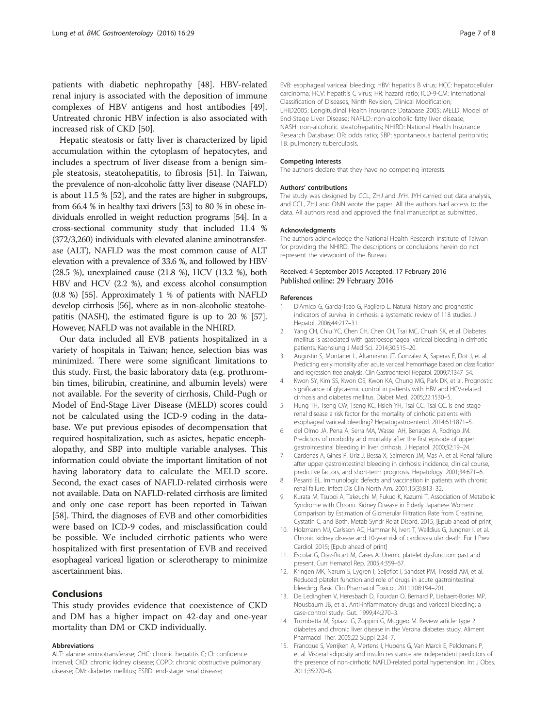<span id="page-6-0"></span>patients with diabetic nephropathy [\[48\]](#page-7-0). HBV-related renal injury is associated with the deposition of immune complexes of HBV antigens and host antibodies [\[49](#page-7-0)]. Untreated chronic HBV infection is also associated with increased risk of CKD [\[50](#page-7-0)].

Hepatic steatosis or fatty liver is characterized by lipid accumulation within the cytoplasm of hepatocytes, and includes a spectrum of liver disease from a benign simple steatosis, steatohepatitis, to fibrosis [\[51](#page-7-0)]. In Taiwan, the prevalence of non-alcoholic fatty liver disease (NAFLD) is about 11.5 % [[52](#page-7-0)], and the rates are higher in subgroups, from 66.4 % in healthy taxi drivers [\[53\]](#page-7-0) to 80 % in obese individuals enrolled in weight reduction programs [\[54\]](#page-7-0). In a cross-sectional community study that included 11.4 % (372/3,260) individuals with elevated alanine aminotransferase (ALT), NAFLD was the most common cause of ALT elevation with a prevalence of 33.6 %, and followed by HBV (28.5 %), unexplained cause (21.8 %), HCV (13.2 %), both HBV and HCV (2.2 %), and excess alcohol consumption (0.8 %) [[55](#page-7-0)]. Approximately 1 % of patients with NAFLD develop cirrhosis [\[56\]](#page-7-0), where as in non-alcoholic steatohepatitis (NASH), the estimated figure is up to 20 % [\[57](#page-7-0)]. However, NAFLD was not available in the NHIRD.

Our data included all EVB patients hospitalized in a variety of hospitals in Taiwan; hence, selection bias was minimized. There were some significant limitations to this study. First, the basic laboratory data (e.g. prothrombin times, bilirubin, creatinine, and albumin levels) were not available. For the severity of cirrhosis, Child-Pugh or Model of End-Stage Liver Disease (MELD) scores could not be calculated using the ICD-9 coding in the database. We put previous episodes of decompensation that required hospitalization, such as asictes, hepatic encephalopathy, and SBP into multiple variable analyses. This information could obviate the important limitation of not having laboratory data to calculate the MELD score. Second, the exact cases of NAFLD-related cirrhosis were not available. Data on NAFLD-related cirrhosis are limited and only one case report has been reported in Taiwan [[58](#page-7-0)]. Third, the diagnoses of EVB and other comorbidities were based on ICD-9 codes, and misclassification could be possible. We included cirrhotic patients who were hospitalized with first presentation of EVB and received esophageal variceal ligation or sclerotherapy to minimize ascertainment bias.

## Conclusions

This study provides evidence that coexistence of CKD and DM has a higher impact on 42-day and one-year mortality than DM or CKD individually.

### Abbreviations

ALT: alanine aminotransferase; CHC: chronic hepatitis C; CI: confidence interval; CKD: chronic kidney disease; COPD: chronic obstructive pulmonary disease; DM: diabetes mellitus; ESRD: end-stage renal disease;

EVB: esophageal variceal bleeding; HBV: hepatitis B virus; HCC: hepatocellular carcinoma; HCV: hepatitis C virus; HR: hazard ratio; ICD-9-CM: International Classification of Diseases, Ninth Revision, Clinical Modification; LHID2005: Longitudinal Health Insurance Database 2005; MELD: Model of End-Stage Liver Disease; NAFLD: non-alcoholic fatty liver disease; NASH: non-alcoholic steatohepatitis; NHIRD: National Health Insurance Research Database; OR: odds ratio; SBP: spontaneous bacterial peritonitis; TB: pulmonary tuberculosis.

#### Competing interests

The authors declare that they have no competing interests.

#### Authors' contributions

The study was designed by CCL, ZHJ and JYH. JYH carried out data analysis, and CCL, ZHJ and ONN wrote the paper. All the authors had access to the data. All authors read and approved the final manuscript as submitted.

### Acknowledgments

The authors acknowledge the National Health Research Institute of Taiwan for providing the NHIRD. The descriptions or conclusions herein do not represent the viewpoint of the Bureau.

### Received: 4 September 2015 Accepted: 17 February 2016 Published online: 29 February 2016

#### References

- 1. D'Amico G, Garcia-Tsao G, Pagliaro L. Natural history and prognostic indicators of survival in cirrhosis: a systematic review of 118 studies. J Hepatol. 2006;44:217–31.
- 2. Yang CH, Chiu YC, Chen CH, Chen CH, Tsai MC, Chuah SK, et al. Diabetes mellitus is associated with gastroesophageal variceal bleeding in cirrhotic patients. Kaohsiung J Med Sci. 2014;30:515–20.
- 3. Augustin S, Muntaner L, Altamirano JT, Gonzalez A, Saperas E, Dot J, et al. Predicting early mortality after acute variceal hemorrhage based on classification and regression tree analysis. Clin Gastroenterol Hepatol. 2009;7:1347–54.
- 4. Kwon SY, Kim SS, Kwon OS, Kwon KA, Chung MG, Park DK, et al. Prognostic significance of glycaemic control in patients with HBV and HCV-related cirrhosis and diabetes mellitus. Diabet Med. 2005;22:1530–5.
- 5. Hung TH, Tseng CW, Tseng KC, Hsieh YH, Tsai CC, Tsai CC. Is end stage renal disease a risk factor for the mortality of cirrhotic patients with esophageal variceal bleeding? Hepatogastroenterol. 2014;61:1871–5.
- 6. del Olmo JA, Pena A, Serra MA, Wassel AH, Benages A, Rodrigo JM. Predictors of morbidity and mortality after the first episode of upper gastrointestinal bleeding in liver cirrhosis. J Hepatol. 2000;32:19–24.
- 7. Cardenas A, Gines P, Uriz J, Bessa X, Salmeron JM, Mas A, et al. Renal failure after upper gastrointestinal bleeding in cirrhosis: incidence, clinical course, predictive factors, and short-term prognosis. Hepatology. 2001;34:671–6.
- 8. Pesanti EL. Immunologic defects and vaccination in patients with chronic renal failure. Infect Dis Clin North Am. 2001;15(3):813–32.
- 9. Kurata M, Tsuboi A, Takeuchi M, Fukuo K, Kazumi T. Association of Metabolic Syndrome with Chronic Kidney Disease in Elderly Japanese Women: Comparison by Estimation of Glomerular Filtration Rate from Creatinine, Cystatin C, and Both. Metab Syndr Relat Disord. 2015; [Epub ahead of print]
- 10. Holzmann MJ, Carlsson AC, Hammar N, Ivert T, Walldius G, Jungner I, et al. Chronic kidney disease and 10-year risk of cardiovascular death. Eur J Prev Cardiol. 2015; [Epub ahead of print]
- 11. Escolar G, Diaz-Ricart M, Cases A. Uremic platelet dysfunction: past and present. Curr Hematol Rep. 2005;4:359–67.
- 12. Kringen MK, Narum S, Lygren I, Seljeflot I, Sandset PM, Troseid AM, et al. Reduced platelet function and role of drugs in acute gastrointestinal bleeding. Basic Clin Pharmacol Toxicol. 2011;108:194–201.
- 13. De Ledinghen V, Heresbach D, Fourdan O, Bernard P, Liebaert-Bories MP, Nousbaum JB, et al. Anti-inflammatory drugs and variceal bleeding: a case-control study. Gut. 1999;44:270–3.
- 14. Trombetta M, Spiazzi G, Zoppini G, Muggeo M. Review article: type 2 diabetes and chronic liver disease in the Verona diabetes study. Aliment Pharmacol Ther. 2005;22 Suppl 2:24–7.
- 15. Francque S, Verrijken A, Mertens I, Hubens G, Van Marck E, Pelckmans P, et al. Visceral adiposity and insulin resistance are independent predictors of the presence of non-cirrhotic NAFLD-related portal hypertension. Int J Obes. 2011;35:270–8.